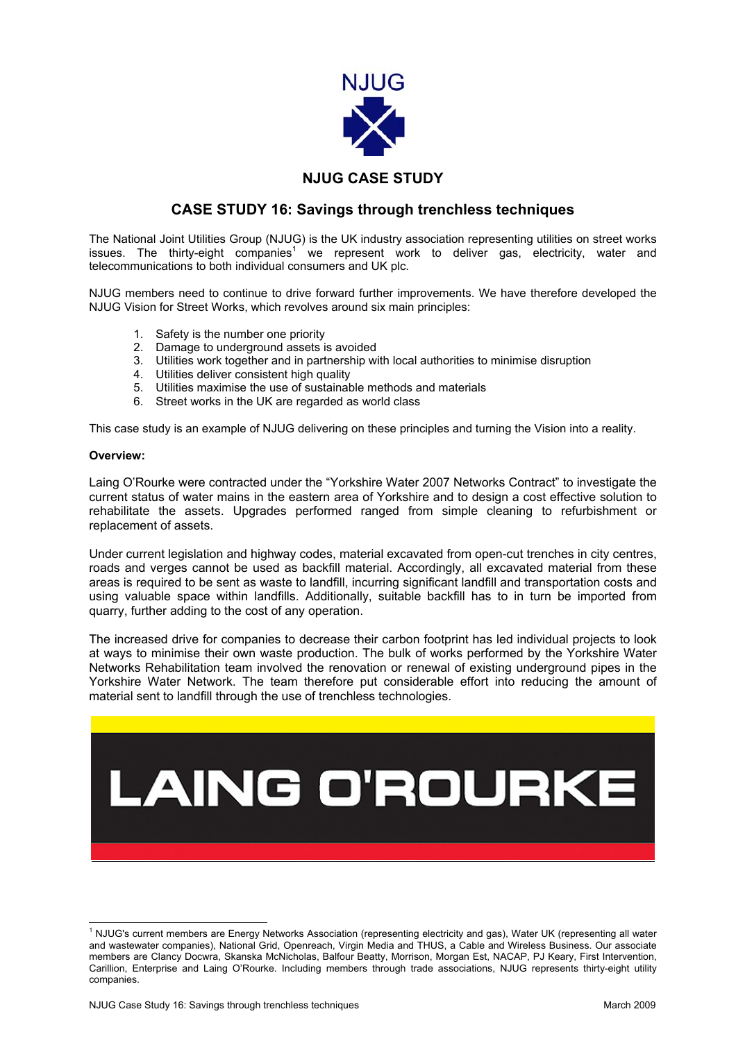

## **NJUG CASE STUDY**

## **CASE STUDY 16: Savings through trenchless techniques**

The National Joint Utilities Group (NJUG) is the UK industry association representing utilities on street works issues. The thirty-eight companies<sup>[1](#page-0-0)</sup> we represent work to deliver gas, electricity, water and telecommunications to both individual consumers and UK plc.

NJUG members need to continue to drive forward further improvements. We have therefore developed the NJUG Vision for Street Works, which revolves around six main principles:

- 1. Safety is the number one priority
- 2. Damage to underground assets is avoided
- 3. Utilities work together and in partnership with local authorities to minimise disruption
- 4. Utilities deliver consistent high quality
- 5. Utilities maximise the use of sustainable methods and materials
- 6. Street works in the UK are regarded as world class

This case study is an example of NJUG delivering on these principles and turning the Vision into a reality.

## **Overview:**

Laing O'Rourke were contracted under the "Yorkshire Water 2007 Networks Contract" to investigate the current status of water mains in the eastern area of Yorkshire and to design a cost effective solution to rehabilitate the assets. Upgrades performed ranged from simple cleaning to refurbishment or replacement of assets.

Under current legislation and highway codes, material excavated from open-cut trenches in city centres, roads and verges cannot be used as backfill material. Accordingly, all excavated material from these areas is required to be sent as waste to landfill, incurring significant landfill and transportation costs and using valuable space within landfills. Additionally, suitable backfill has to in turn be imported from quarry, further adding to the cost of any operation.

The increased drive for companies to decrease their carbon footprint has led individual projects to look at ways to minimise their own waste production. The bulk of works performed by the Yorkshire Water Networks Rehabilitation team involved the renovation or renewal of existing underground pipes in the Yorkshire Water Network. The team therefore put considerable effort into reducing the amount of material sent to landfill through the use of trenchless technologies.



<span id="page-0-0"></span> $\frac{1}{1}$ <sup>1</sup> NJUG's current members are Energy Networks Association (representing electricity and gas), Water UK (representing all water and wastewater companies), National Grid, Openreach, Virgin Media and THUS, a Cable and Wireless Business. Our associate members are Clancy Docwra, Skanska McNicholas, Balfour Beatty, Morrison, Morgan Est, NACAP, PJ Keary, First Intervention, Carillion, Enterprise and Laing O'Rourke. Including members through trade associations, NJUG represents thirty-eight utility companies.